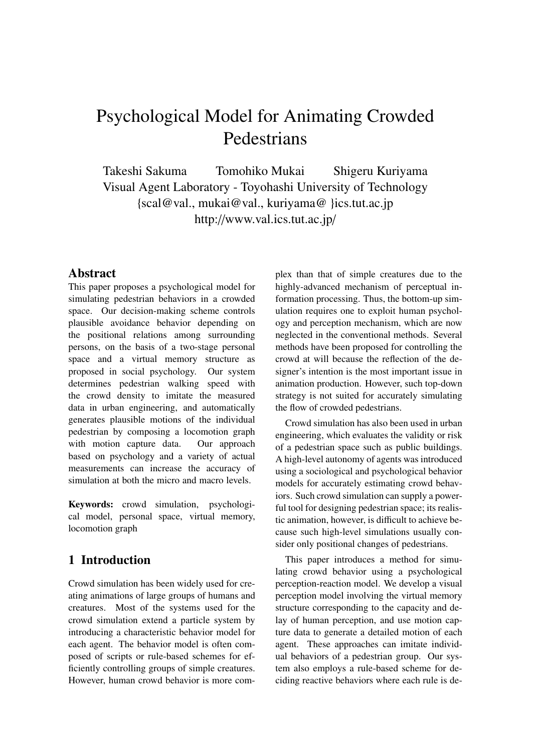# Psychological Model for Animating Crowded Pedestrians

Takeshi Sakuma Tomohiko Mukai Shigeru Kuriyama Visual Agent Laboratory - Toyohashi University of Technology {scal@val., mukai@val., kuriyama@ }ics.tut.ac.jp http://www.val.ics.tut.ac.jp/

## **Abstract**

This paper proposes a psychological model for simulating pedestrian behaviors in a crowded space. Our decision-making scheme controls plausible avoidance behavior depending on the positional relations among surrounding persons, on the basis of a two-stage personal space and a virtual memory structure as proposed in social psychology. Our system determines pedestrian walking speed with the crowd density to imitate the measured data in urban engineering, and automatically generates plausible motions of the individual pedestrian by composing a locomotion graph with motion capture data. Our approach based on psychology and a variety of actual measurements can increase the accuracy of simulation at both the micro and macro levels.

**Keywords:** crowd simulation, psychological model, personal space, virtual memory, locomotion graph

# **1 Introduction**

Crowd simulation has been widely used for creating animations of large groups of humans and creatures. Most of the systems used for the crowd simulation extend a particle system by introducing a characteristic behavior model for each agent. The behavior model is often composed of scripts or rule-based schemes for efficiently controlling groups of simple creatures. However, human crowd behavior is more complex than that of simple creatures due to the highly-advanced mechanism of perceptual information processing. Thus, the bottom-up simulation requires one to exploit human psychology and perception mechanism, which are now neglected in the conventional methods. Several methods have been proposed for controlling the crowd at will because the reflection of the designer's intention is the most important issue in animation production. However, such top-down strategy is not suited for accurately simulating the flow of crowded pedestrians.

Crowd simulation has also been used in urban engineering, which evaluates the validity or risk of a pedestrian space such as public buildings. A high-level autonomy of agents was introduced using a sociological and psychological behavior models for accurately estimating crowd behaviors. Such crowd simulation can supply a powerful tool for designing pedestrian space; its realistic animation, however, is difficult to achieve because such high-level simulations usually consider only positional changes of pedestrians.

This paper introduces a method for simulating crowd behavior using a psychological perception-reaction model. We develop a visual perception model involving the virtual memory structure corresponding to the capacity and delay of human perception, and use motion capture data to generate a detailed motion of each agent. These approaches can imitate individual behaviors of a pedestrian group. Our system also employs a rule-based scheme for deciding reactive behaviors where each rule is de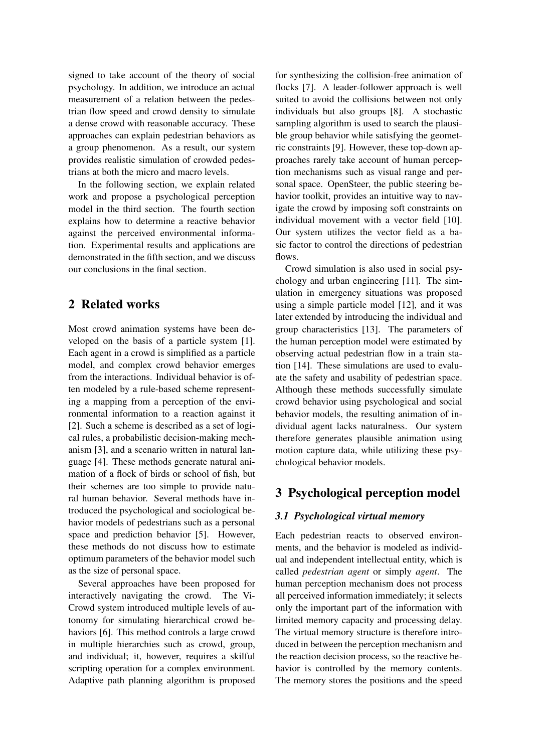signed to take account of the theory of social psychology. In addition, we introduce an actual measurement of a relation between the pedestrian flow speed and crowd density to simulate a dense crowd with reasonable accuracy. These approaches can explain pedestrian behaviors as a group phenomenon. As a result, our system provides realistic simulation of crowded pedestrians at both the micro and macro levels.

In the following section, we explain related work and propose a psychological perception model in the third section. The fourth section explains how to determine a reactive behavior against the perceived environmental information. Experimental results and applications are demonstrated in the fifth section, and we discuss our conclusions in the final section.

# **2 Related works**

Most crowd animation systems have been developed on the basis of a particle system [1]. Each agent in a crowd is simplified as a particle model, and complex crowd behavior emerges from the interactions. Individual behavior is often modeled by a rule-based scheme representing a mapping from a perception of the environmental information to a reaction against it [2]. Such a scheme is described as a set of logical rules, a probabilistic decision-making mechanism [3], and a scenario written in natural language [4]. These methods generate natural animation of a flock of birds or school of fish, but their schemes are too simple to provide natural human behavior. Several methods have introduced the psychological and sociological behavior models of pedestrians such as a personal space and prediction behavior [5]. However, these methods do not discuss how to estimate optimum parameters of the behavior model such as the size of personal space.

Several approaches have been proposed for interactively navigating the crowd. The Vi-Crowd system introduced multiple levels of autonomy for simulating hierarchical crowd behaviors [6]. This method controls a large crowd in multiple hierarchies such as crowd, group, and individual; it, however, requires a skilful scripting operation for a complex environment. Adaptive path planning algorithm is proposed

for synthesizing the collision-free animation of flocks [7]. A leader-follower approach is well suited to avoid the collisions between not only individuals but also groups [8]. A stochastic sampling algorithm is used to search the plausible group behavior while satisfying the geometric constraints [9]. However, these top-down approaches rarely take account of human perception mechanisms such as visual range and personal space. OpenSteer, the public steering behavior toolkit, provides an intuitive way to navigate the crowd by imposing soft constraints on individual movement with a vector field [10]. Our system utilizes the vector field as a basic factor to control the directions of pedestrian flows.

Crowd simulation is also used in social psychology and urban engineering [11]. The simulation in emergency situations was proposed using a simple particle model [12], and it was later extended by introducing the individual and group characteristics [13]. The parameters of the human perception model were estimated by observing actual pedestrian flow in a train station [14]. These simulations are used to evaluate the safety and usability of pedestrian space. Although these methods successfully simulate crowd behavior using psychological and social behavior models, the resulting animation of individual agent lacks naturalness. Our system therefore generates plausible animation using motion capture data, while utilizing these psychological behavior models.

# **3 Psychological perception model**

#### *3.1 Psychological virtual memory*

Each pedestrian reacts to observed environments, and the behavior is modeled as individual and independent intellectual entity, which is called *pedestrian agent* or simply *agent*. The human perception mechanism does not process all perceived information immediately; it selects only the important part of the information with limited memory capacity and processing delay. The virtual memory structure is therefore introduced in between the perception mechanism and the reaction decision process, so the reactive behavior is controlled by the memory contents. The memory stores the positions and the speed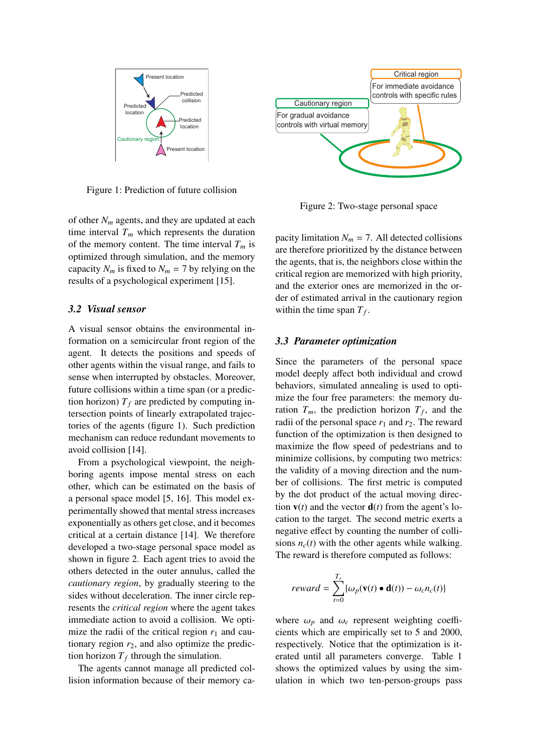

Figure 1: Prediction of future collision

of other  $N_m$  agents, and they are updated at each time interval  $T_m$  which represents the duration of the memory content. The time interval  $T_m$  is optimized through simulation, and the memory capacity  $N_m$  is fixed to  $N_m = 7$  by relying on the results of a psychological experiment [15].

#### *3.2 Visual sensor*

A visual sensor obtains the environmental information on a semicircular front region of the agent. It detects the positions and speeds of other agents within the visual range, and fails to sense when interrupted by obstacles. Moreover, future collisions within a time span (or a prediction horizon)  $T_f$  are predicted by computing intersection points of linearly extrapolated trajectories of the agents (figure 1). Such prediction mechanism can reduce redundant movements to avoid collision [14].

From a psychological viewpoint, the neighboring agents impose mental stress on each other, which can be estimated on the basis of a personal space model [5, 16]. This model experimentally showed that mental stress increases exponentially as others get close, and it becomes critical at a certain distance [14]. We therefore developed a two-stage personal space model as shown in figure 2. Each agent tries to avoid the others detected in the outer annulus, called the *cautionary region*, by gradually steering to the sides without deceleration. The inner circle represents the *critical region* where the agent takes immediate action to avoid a collision. We optimize the radii of the critical region  $r_1$  and cautionary region  $r_2$ , and also optimize the prediction horizon  $T_f$  through the simulation.

The agents cannot manage all predicted collision information because of their memory ca-



Figure 2: Two-stage personal space

pacity limitation  $N_m = 7$ . All detected collisions are therefore prioritized by the distance between the agents, that is, the neighbors close within the critical region are memorized with high priority, and the exterior ones are memorized in the order of estimated arrival in the cautionary region within the time span  $T_f$ .

#### *3.3 Parameter optimization*

Since the parameters of the personal space model deeply affect both individual and crowd behaviors, simulated annealing is used to optimize the four free parameters: the memory duration  $T_m$ , the prediction horizon  $T_f$ , and the radii of the personal space  $r_1$  and  $r_2$ . The reward function of the optimization is then designed to maximize the flow speed of pedestrians and to minimize collisions, by computing two metrics: the validity of a moving direction and the number of collisions. The first metric is computed by the dot product of the actual moving direction  $\mathbf{v}(t)$  and the vector  $\mathbf{d}(t)$  from the agent's location to the target. The second metric exerts a negative effect by counting the number of collisions  $n_c(t)$  with the other agents while walking. The reward is therefore computed as follows:

$$
reward = \sum_{t=0}^{T_r} \{ \omega_p(\mathbf{v}(t) \bullet \mathbf{d}(t)) - \omega_c n_c(t) \}
$$

where  $\omega_p$  and  $\omega_c$  represent weighting coefficients which are empirically set to 5 and 2000, respectively. Notice that the optimization is iterated until all parameters converge. Table 1 shows the optimized values by using the simulation in which two ten-person-groups pass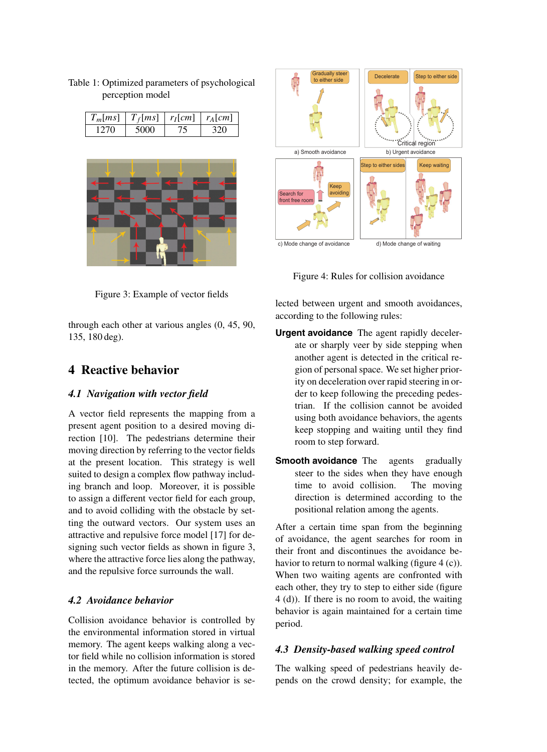| $T_m$   ms | $T_f$  ms | $r_l$ [cm] | $r_A$   $cm$ |
|------------|-----------|------------|--------------|
|            |           |            |              |

Table 1: Optimized parameters of psychological

perception model





Figure 4: Rules for collision avoidance

lected between urgent and smooth avoidances, according to the following rules:

- **Urgent avoidance** The agent rapidly decelerate or sharply veer by side stepping when another agent is detected in the critical region of personal space. We set higher priority on deceleration over rapid steering in order to keep following the preceding pedestrian. If the collision cannot be avoided using both avoidance behaviors, the agents keep stopping and waiting until they find room to step forward.
- **Smooth avoidance** The agents gradually steer to the sides when they have enough time to avoid collision. The moving direction is determined according to the positional relation among the agents.

After a certain time span from the beginning of avoidance, the agent searches for room in their front and discontinues the avoidance behavior to return to normal walking (figure  $4(c)$ ). When two waiting agents are confronted with each other, they try to step to either side (figure 4 (d)). If there is no room to avoid, the waiting behavior is again maintained for a certain time period.

### *4.3 Density-based walking speed control*

The walking speed of pedestrians heavily depends on the crowd density; for example, the

Figure 3: Example of vector fields

through each other at various angles (0, 45, 90, 135, 180 deg).

# **4 Reactive behavior**

### *4.1 Navigation with vector field*

A vector field represents the mapping from a present agent position to a desired moving direction [10]. The pedestrians determine their moving direction by referring to the vector fields at the present location. This strategy is well suited to design a complex flow pathway including branch and loop. Moreover, it is possible to assign a different vector field for each group, and to avoid colliding with the obstacle by setting the outward vectors. Our system uses an attractive and repulsive force model [17] for designing such vector fields as shown in figure 3, where the attractive force lies along the pathway, and the repulsive force surrounds the wall.

### *4.2 Avoidance behavior*

Collision avoidance behavior is controlled by the environmental information stored in virtual memory. The agent keeps walking along a vector field while no collision information is stored in the memory. After the future collision is detected, the optimum avoidance behavior is se-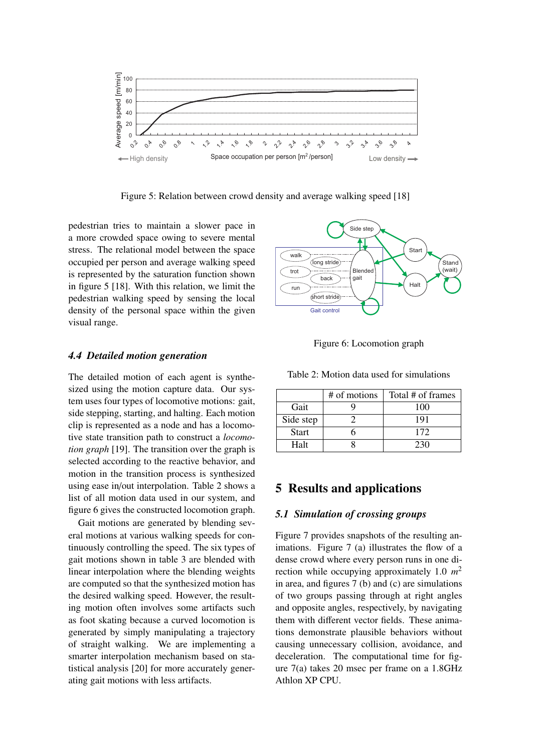

Figure 5: Relation between crowd density and average walking speed [18]

pedestrian tries to maintain a slower pace in a more crowded space owing to severe mental stress. The relational model between the space occupied per person and average walking speed is represented by the saturation function shown in figure 5 [18]. With this relation, we limit the pedestrian walking speed by sensing the local density of the personal space within the given visual range.

#### *4.4 Detailed motion generation*

The detailed motion of each agent is synthesized using the motion capture data. Our system uses four types of locomotive motions: gait, side stepping, starting, and halting. Each motion clip is represented as a node and has a locomotive state transition path to construct a *locomotion graph* [19]. The transition over the graph is selected according to the reactive behavior, and motion in the transition process is synthesized using ease in/out interpolation. Table 2 shows a list of all motion data used in our system, and figure 6 gives the constructed locomotion graph.

Gait motions are generated by blending several motions at various walking speeds for continuously controlling the speed. The six types of gait motions shown in table 3 are blended with linear interpolation where the blending weights are computed so that the synthesized motion has the desired walking speed. However, the resulting motion often involves some artifacts such as foot skating because a curved locomotion is generated by simply manipulating a trajectory of straight walking. We are implementing a smarter interpolation mechanism based on statistical analysis [20] for more accurately generating gait motions with less artifacts.





Table 2: Motion data used for simulations

|              | # of motions | Total # of frames |
|--------------|--------------|-------------------|
| Gait         |              | 100               |
| Side step    |              | 191               |
| <b>Start</b> |              | 172               |
| Halt         |              | 230               |

#### **5 Results and applications**

#### *5.1 Simulation of crossing groups*

Figure 7 provides snapshots of the resulting animations. Figure 7 (a) illustrates the flow of a dense crowd where every person runs in one direction while occupying approximately 1.0 *m*<sup>2</sup> in area, and figures 7 (b) and (c) are simulations of two groups passing through at right angles and opposite angles, respectively, by navigating them with different vector fields. These animations demonstrate plausible behaviors without causing unnecessary collision, avoidance, and deceleration. The computational time for figure 7(a) takes 20 msec per frame on a 1.8GHz Athlon XP CPU.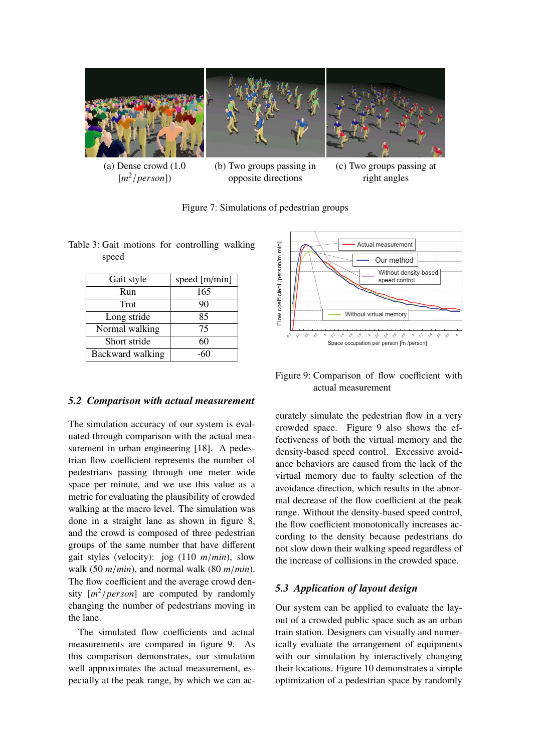

 $[m^2/person]$ 

opposite directions

(c) Two groups passing at right angles

Figure 7: Simulations of pedestrian groups

| Gait style       | speed [m/min] |
|------------------|---------------|
| Run              | 165           |
| Trot             | 90            |
| Long stride      | 85            |
| Normal walking   | 75            |
| Short stride     | 60            |
| Backward walking |               |

*5.2 Comparison with actual measurement*

Table 3: Gait motions for controlling walking speed

# Figure 9: Comparison of flow coefficient with actual measurement

The simulation accuracy of our system is evaluated through comparison with the actual measurement in urban engineering [18]. A pedestrian flow coefficient represents the number of pedestrians passing through one meter wide space per minute, and we use this value as a metric for evaluating the plausibility of crowded walking at the macro level. The simulation was done in a straight lane as shown in figure 8, and the crowd is composed of three pedestrian groups of the same number that have different gait styles (velocity): jog (110 *m*/*min*), slow walk (50 *m*/*min*), and normal walk (80 *m*/*min*). The flow coefficient and the average crowd density [*m*2/*person*] are computed by randomly changing the number of pedestrians moving in the lane.

The simulated flow coefficients and actual measurements are compared in figure 9. As this comparison demonstrates, our simulation well approximates the actual measurement, especially at the peak range, by which we can accurately simulate the pedestrian flow in a very crowded space. Figure 9 also shows the effectiveness of both the virtual memory and the density-based speed control. Excessive avoidance behaviors are caused from the lack of the virtual memory due to faulty selection of the avoidance direction, which results in the abnormal decrease of the flow coefficient at the peak range. Without the density-based speed control, the flow coefficient monotonically increases according to the density because pedestrians do not slow down their walking speed regardless of the increase of collisions in the crowded space.

# *5.3 Application of layout design*

Our system can be applied to evaluate the layout of a crowded public space such as an urban train station. Designers can visually and numerically evaluate the arrangement of equipments with our simulation by interactively changing their locations. Figure 10 demonstrates a simple optimization of a pedestrian space by randomly



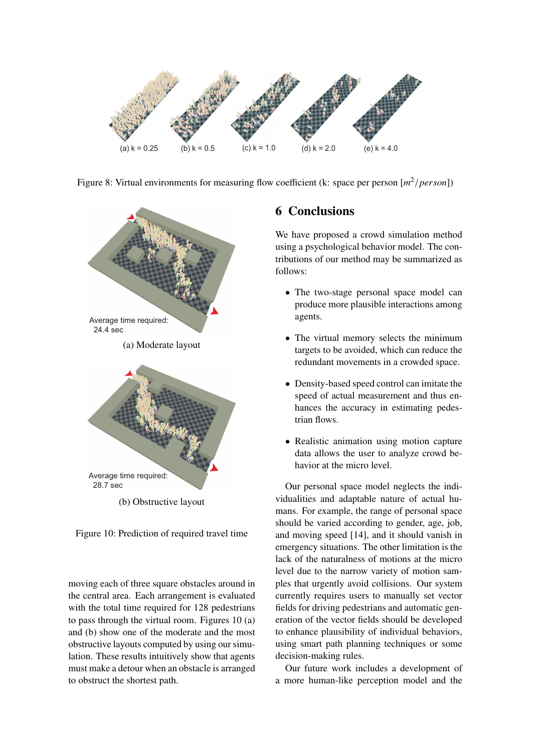

Figure 8: Virtual environments for measuring flow coefficient (k: space per person [*m*2/*person*])



(b) Obstructive layout



moving each of three square obstacles around in the central area. Each arrangement is evaluated with the total time required for 128 pedestrians to pass through the virtual room. Figures 10 (a) and (b) show one of the moderate and the most obstructive layouts computed by using our simulation. These results intuitively show that agents must make a detour when an obstacle is arranged to obstruct the shortest path.

# **6 Conclusions**

We have proposed a crowd simulation method using a psychological behavior model. The contributions of our method may be summarized as follows:

- The two-stage personal space model can produce more plausible interactions among agents.
- The virtual memory selects the minimum targets to be avoided, which can reduce the redundant movements in a crowded space.
- Density-based speed control can imitate the speed of actual measurement and thus enhances the accuracy in estimating pedestrian flows.
- Realistic animation using motion capture data allows the user to analyze crowd behavior at the micro level.

Our personal space model neglects the individualities and adaptable nature of actual humans. For example, the range of personal space should be varied according to gender, age, job, and moving speed [14], and it should vanish in emergency situations. The other limitation is the lack of the naturalness of motions at the micro level due to the narrow variety of motion samples that urgently avoid collisions. Our system currently requires users to manually set vector fields for driving pedestrians and automatic generation of the vector fields should be developed to enhance plausibility of individual behaviors, using smart path planning techniques or some decision-making rules.

Our future work includes a development of a more human-like perception model and the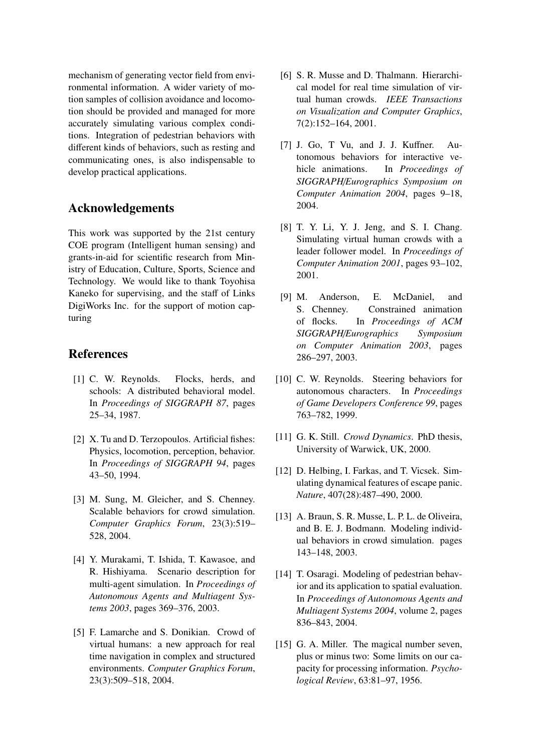mechanism of generating vector field from environmental information. A wider variety of motion samples of collision avoidance and locomotion should be provided and managed for more accurately simulating various complex conditions. Integration of pedestrian behaviors with different kinds of behaviors, such as resting and communicating ones, is also indispensable to develop practical applications.

# **Acknowledgements**

This work was supported by the 21st century COE program (Intelligent human sensing) and grants-in-aid for scientific research from Ministry of Education, Culture, Sports, Science and Technology. We would like to thank Toyohisa Kaneko for supervising, and the staff of Links DigiWorks Inc. for the support of motion capturing

## **References**

- [1] C. W. Reynolds. Flocks, herds, and schools: A distributed behavioral model. In *Proceedings of SIGGRAPH 87*, pages 25–34, 1987.
- [2] X. Tu and D. Terzopoulos. Artificial fishes: Physics, locomotion, perception, behavior. In *Proceedings of SIGGRAPH 94*, pages 43–50, 1994.
- [3] M. Sung, M. Gleicher, and S. Chenney. Scalable behaviors for crowd simulation. *Computer Graphics Forum*, 23(3):519– 528, 2004.
- [4] Y. Murakami, T. Ishida, T. Kawasoe, and R. Hishiyama. Scenario description for multi-agent simulation. In *Proceedings of Autonomous Agents and Multiagent Systems 2003*, pages 369–376, 2003.
- [5] F. Lamarche and S. Donikian. Crowd of virtual humans: a new approach for real time navigation in complex and structured environments. *Computer Graphics Forum*, 23(3):509–518, 2004.
- [6] S. R. Musse and D. Thalmann. Hierarchical model for real time simulation of virtual human crowds. *IEEE Transactions on Visualization and Computer Graphics*, 7(2):152–164, 2001.
- [7] J. Go, T Vu, and J. J. Kuffner. Autonomous behaviors for interactive vehicle animations. In *Proceedings of SIGGRAPH*/*Eurographics Symposium on Computer Animation 2004*, pages 9–18, 2004.
- [8] T. Y. Li, Y. J. Jeng, and S. I. Chang. Simulating virtual human crowds with a leader follower model. In *Proceedings of Computer Animation 2001*, pages 93–102, 2001.
- [9] M. Anderson, E. McDaniel, and S. Chenney. Constrained animation of flocks. In *Proceedings of ACM SIGGRAPH*/*Eurographics Symposium on Computer Animation 2003*, pages 286–297, 2003.
- [10] C. W. Reynolds. Steering behaviors for autonomous characters. In *Proceedings of Game Developers Conference 99*, pages 763–782, 1999.
- [11] G. K. Still. *Crowd Dynamics*. PhD thesis, University of Warwick, UK, 2000.
- [12] D. Helbing, I. Farkas, and T. Vicsek. Simulating dynamical features of escape panic. *Nature*, 407(28):487–490, 2000.
- [13] A. Braun, S. R. Musse, L. P. L. de Oliveira, and B. E. J. Bodmann. Modeling individual behaviors in crowd simulation. pages 143–148, 2003.
- [14] T. Osaragi. Modeling of pedestrian behavior and its application to spatial evaluation. In *Proceedings of Autonomous Agents and Multiagent Systems 2004*, volume 2, pages 836–843, 2004.
- [15] G. A. Miller. The magical number seven, plus or minus two: Some limits on our capacity for processing information. *Psychological Review*, 63:81–97, 1956.